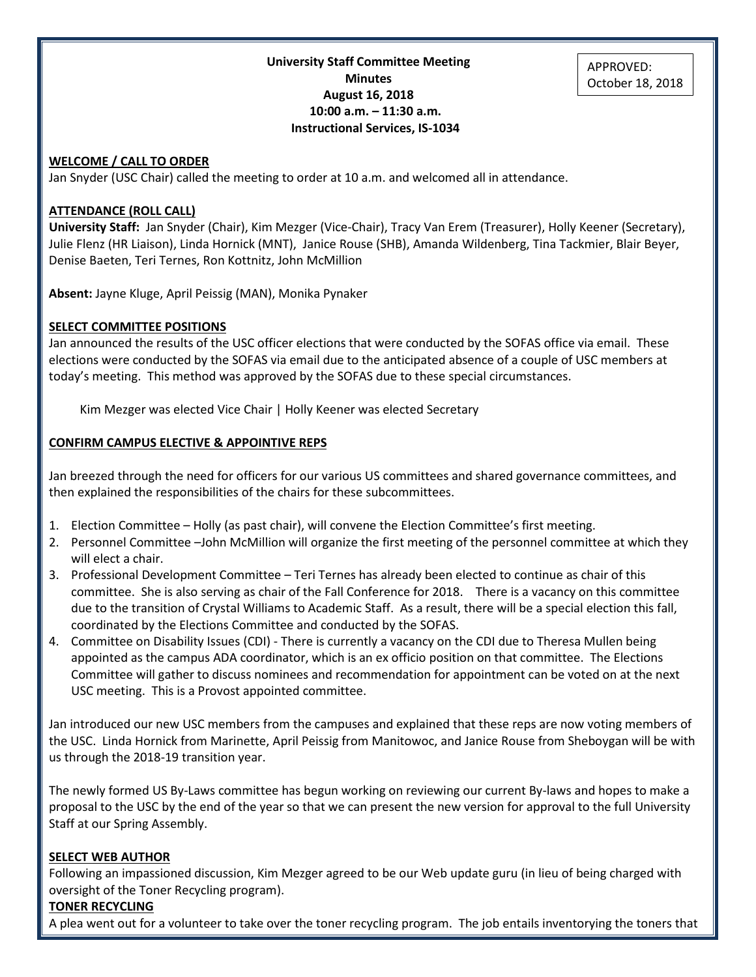**University Staff Committee Meeting Minutes August 16, 2018 10:00 a.m. – 11:30 a.m. Instructional Services, IS-1034**

#### **WELCOME / CALL TO ORDER**

Jan Snyder (USC Chair) called the meeting to order at 10 a.m. and welcomed all in attendance.

#### **ATTENDANCE (ROLL CALL)**

**University Staff:** Jan Snyder (Chair), Kim Mezger (Vice-Chair), Tracy Van Erem (Treasurer), Holly Keener (Secretary), Julie Flenz (HR Liaison), Linda Hornick (MNT), Janice Rouse (SHB), Amanda Wildenberg, Tina Tackmier, Blair Beyer, Denise Baeten, Teri Ternes, Ron Kottnitz, John McMillion

**Absent:** Jayne Kluge, April Peissig (MAN), Monika Pynaker

#### **SELECT COMMITTEE POSITIONS**

Jan announced the results of the USC officer elections that were conducted by the SOFAS office via email. These elections were conducted by the SOFAS via email due to the anticipated absence of a couple of USC members at today's meeting. This method was approved by the SOFAS due to these special circumstances.

Kim Mezger was elected Vice Chair | Holly Keener was elected Secretary

#### **CONFIRM CAMPUS ELECTIVE & APPOINTIVE REPS**

Jan breezed through the need for officers for our various US committees and shared governance committees, and then explained the responsibilities of the chairs for these subcommittees.

- 1. Election Committee Holly (as past chair), will convene the Election Committee's first meeting.
- 2. Personnel Committee –John McMillion will organize the first meeting of the personnel committee at which they will elect a chair.
- 3. Professional Development Committee Teri Ternes has already been elected to continue as chair of this committee. She is also serving as chair of the Fall Conference for 2018. There is a vacancy on this committee due to the transition of Crystal Williams to Academic Staff. As a result, there will be a special election this fall, coordinated by the Elections Committee and conducted by the SOFAS.
- 4. Committee on Disability Issues (CDI) There is currently a vacancy on the CDI due to Theresa Mullen being appointed as the campus ADA coordinator, which is an ex officio position on that committee. The Elections Committee will gather to discuss nominees and recommendation for appointment can be voted on at the next USC meeting. This is a Provost appointed committee.

Jan introduced our new USC members from the campuses and explained that these reps are now voting members of the USC. Linda Hornick from Marinette, April Peissig from Manitowoc, and Janice Rouse from Sheboygan will be with us through the 2018-19 transition year.

The newly formed US By-Laws committee has begun working on reviewing our current By-laws and hopes to make a proposal to the USC by the end of the year so that we can present the new version for approval to the full University Staff at our Spring Assembly.

#### **SELECT WEB AUTHOR**

Following an impassioned discussion, Kim Mezger agreed to be our Web update guru (in lieu of being charged with oversight of the Toner Recycling program).

#### **TONER RECYCLING**

A plea went out for a volunteer to take over the toner recycling program. The job entails inventorying the toners that

APPROVED: October 18, 2018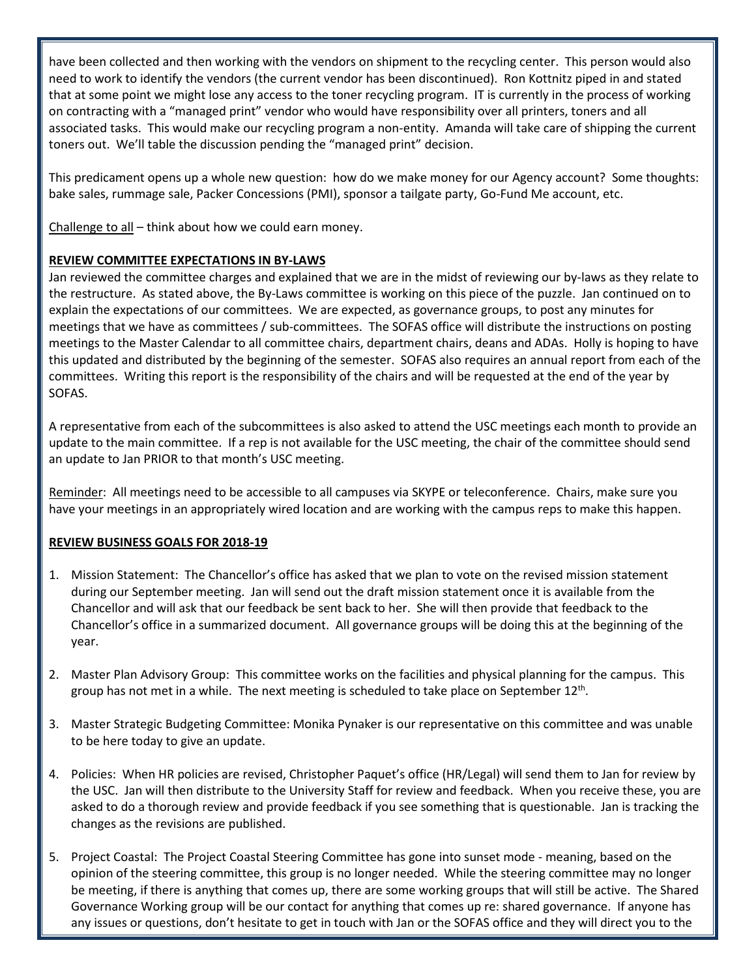have been collected and then working with the vendors on shipment to the recycling center. This person would also need to work to identify the vendors (the current vendor has been discontinued). Ron Kottnitz piped in and stated that at some point we might lose any access to the toner recycling program. IT is currently in the process of working on contracting with a "managed print" vendor who would have responsibility over all printers, toners and all associated tasks. This would make our recycling program a non-entity. Amanda will take care of shipping the current toners out. We'll table the discussion pending the "managed print" decision.

This predicament opens up a whole new question: how do we make money for our Agency account? Some thoughts: bake sales, rummage sale, Packer Concessions (PMI), sponsor a tailgate party, Go-Fund Me account, etc.

Challenge to all  $-$  think about how we could earn money.

### **REVIEW COMMITTEE EXPECTATIONS IN BY-LAWS**

Jan reviewed the committee charges and explained that we are in the midst of reviewing our by-laws as they relate to the restructure. As stated above, the By-Laws committee is working on this piece of the puzzle. Jan continued on to explain the expectations of our committees. We are expected, as governance groups, to post any minutes for meetings that we have as committees / sub-committees. The SOFAS office will distribute the instructions on posting meetings to the Master Calendar to all committee chairs, department chairs, deans and ADAs. Holly is hoping to have this updated and distributed by the beginning of the semester. SOFAS also requires an annual report from each of the committees. Writing this report is the responsibility of the chairs and will be requested at the end of the year by SOFAS.

A representative from each of the subcommittees is also asked to attend the USC meetings each month to provide an update to the main committee. If a rep is not available for the USC meeting, the chair of the committee should send an update to Jan PRIOR to that month's USC meeting.

Reminder: All meetings need to be accessible to all campuses via SKYPE or teleconference. Chairs, make sure you have your meetings in an appropriately wired location and are working with the campus reps to make this happen.

#### **REVIEW BUSINESS GOALS FOR 2018-19**

- 1. Mission Statement: The Chancellor's office has asked that we plan to vote on the revised mission statement during our September meeting. Jan will send out the draft mission statement once it is available from the Chancellor and will ask that our feedback be sent back to her. She will then provide that feedback to the Chancellor's office in a summarized document. All governance groups will be doing this at the beginning of the year.
- 2. Master Plan Advisory Group: This committee works on the facilities and physical planning for the campus. This group has not met in a while. The next meeting is scheduled to take place on September  $12<sup>th</sup>$ .
- 3. Master Strategic Budgeting Committee: Monika Pynaker is our representative on this committee and was unable to be here today to give an update.
- 4. Policies: When HR policies are revised, Christopher Paquet's office (HR/Legal) will send them to Jan for review by the USC. Jan will then distribute to the University Staff for review and feedback. When you receive these, you are asked to do a thorough review and provide feedback if you see something that is questionable. Jan is tracking the changes as the revisions are published.
- 5. Project Coastal: The Project Coastal Steering Committee has gone into sunset mode meaning, based on the opinion of the steering committee, this group is no longer needed. While the steering committee may no longer be meeting, if there is anything that comes up, there are some working groups that will still be active. The Shared Governance Working group will be our contact for anything that comes up re: shared governance. If anyone has any issues or questions, don't hesitate to get in touch with Jan or the SOFAS office and they will direct you to the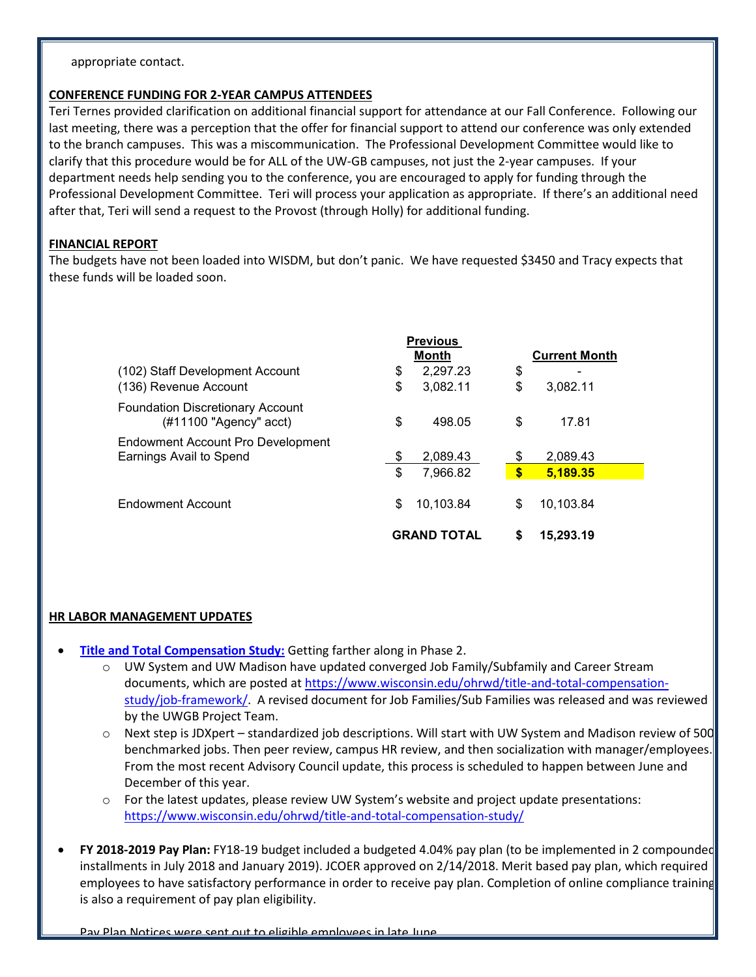appropriate contact.

#### **CONFERENCE FUNDING FOR 2-YEAR CAMPUS ATTENDEES**

Teri Ternes provided clarification on additional financial support for attendance at our Fall Conference. Following our last meeting, there was a perception that the offer for financial support to attend our conference was only extended to the branch campuses. This was a miscommunication. The Professional Development Committee would like to clarify that this procedure would be for ALL of the UW-GB campuses, not just the 2-year campuses. If your department needs help sending you to the conference, you are encouraged to apply for funding through the Professional Development Committee. Teri will process your application as appropriate. If there's an additional need after that, Teri will send a request to the Provost (through Holly) for additional funding.

### **FINANCIAL REPORT**

The budgets have not been loaded into WISDM, but don't panic. We have requested \$3450 and Tracy expects that these funds will be loaded soon.

|                                                                      | <b>Previous</b><br>Month |           |              | <b>Current Month</b> |  |
|----------------------------------------------------------------------|--------------------------|-----------|--------------|----------------------|--|
| (102) Staff Development Account                                      | \$                       | 2,297.23  | \$           | ۰                    |  |
| (136) Revenue Account                                                | \$                       | 3,082.11  | \$           | 3,082.11             |  |
| <b>Foundation Discretionary Account</b><br>$(\#11100$ "Agency" acct) | \$                       | 498.05    | \$           | 17.81                |  |
| Endowment Account Pro Development<br>Earnings Avail to Spend         | \$                       | 2.089.43  | \$           | 2.089.43             |  |
|                                                                      | \$                       | 7,966.82  | $\mathbf{s}$ | 5,189.35             |  |
| Endowment Account                                                    | \$                       | 10.103.84 | \$           | 10.103.84            |  |
|                                                                      | <b>GRAND TOTAL</b>       |           |              | 15,293.19            |  |

## **HR LABOR MANAGEMENT UPDATES**

- **[Title and Total Compensation Study:](https://www.wisconsin.edu/ohrwd/title-and-total-compensation-study/)** Getting farther along in Phase 2.
	- o UW System and UW Madison have updated converged Job Family/Subfamily and Career Stream documents, which are posted at [https://www.wisconsin.edu/ohrwd/title-and-total-compensation](https://www.wisconsin.edu/ohrwd/title-and-total-compensation-study/job-framework/)[study/job-framework/.](https://www.wisconsin.edu/ohrwd/title-and-total-compensation-study/job-framework/) A revised document for Job Families/Sub Families was released and was reviewed by the UWGB Project Team.
	- $\circ$  Next step is JDXpert standardized job descriptions. Will start with UW System and Madison review of 500 benchmarked jobs. Then peer review, campus HR review, and then socialization with manager/employees. From the most recent Advisory Council update, this process is scheduled to happen between June and December of this year.
	- o For the latest updates, please review UW System's website and project update presentations: <https://www.wisconsin.edu/ohrwd/title-and-total-compensation-study/>
- **FY 2018-2019 Pay Plan:** FY18-19 budget included a budgeted 4.04% pay plan (to be implemented in 2 compounded installments in July 2018 and January 2019). JCOER approved on 2/14/2018. Merit based pay plan, which required employees to have satisfactory performance in order to receive pay plan. Completion of online compliance training is also a requirement of pay plan eligibility.

Pay Plan Notices were sent out to eligible employees in late June.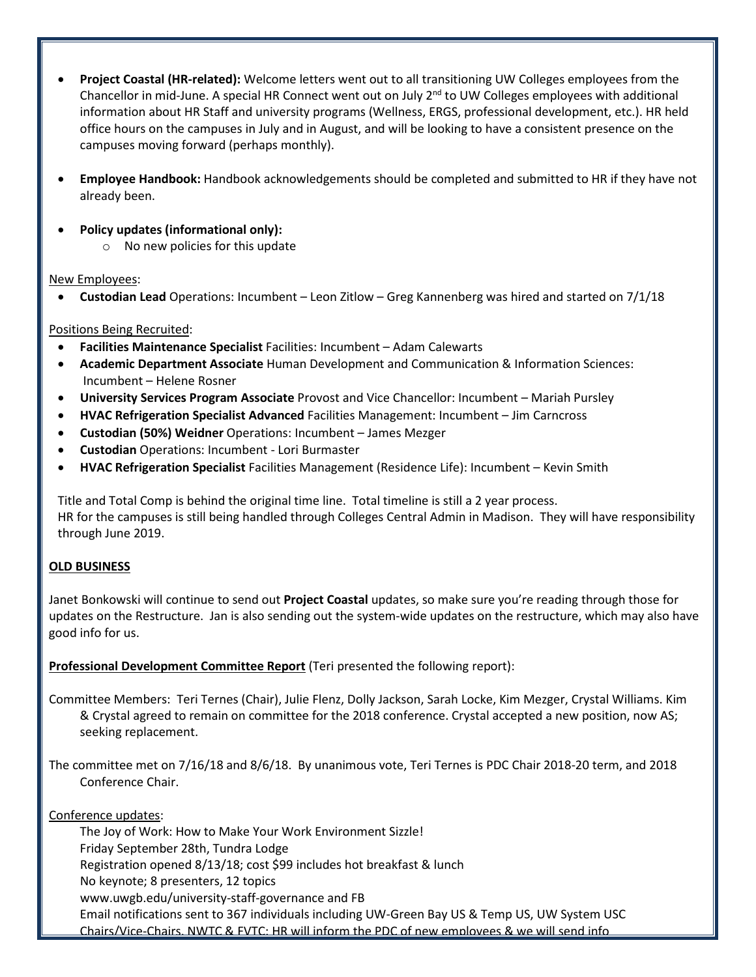- **Project Coastal (HR-related):** Welcome letters went out to all transitioning UW Colleges employees from the Chancellor in mid-June. A special HR Connect went out on July 2<sup>nd</sup> to UW Colleges employees with additional information about HR Staff and university programs (Wellness, ERGS, professional development, etc.). HR held office hours on the campuses in July and in August, and will be looking to have a consistent presence on the campuses moving forward (perhaps monthly).
- **Employee Handbook:** Handbook acknowledgements should be completed and submitted to HR if they have not already been.
- **Policy updates (informational only):** 
	- $\circ$  No new policies for this update

## New Employees:

• **Custodian Lead** Operations: Incumbent – Leon Zitlow – Greg Kannenberg was hired and started on 7/1/18

# Positions Being Recruited:

- **Facilities Maintenance Specialist** Facilities: Incumbent Adam Calewarts
- **Academic Department Associate** Human Development and Communication & Information Sciences: Incumbent – Helene Rosner
- **University Services Program Associate** Provost and Vice Chancellor: Incumbent Mariah Pursley
- **HVAC Refrigeration Specialist Advanced** Facilities Management: Incumbent Jim Carncross
- **Custodian (50%) Weidner** Operations: Incumbent James Mezger
- **Custodian** Operations: Incumbent Lori Burmaster
- **HVAC Refrigeration Specialist** Facilities Management (Residence Life): Incumbent Kevin Smith

Title and Total Comp is behind the original time line. Total timeline is still a 2 year process. HR for the campuses is still being handled through Colleges Central Admin in Madison. They will have responsibility through June 2019.

# **OLD BUSINESS**

Janet Bonkowski will continue to send out **Project Coastal** updates, so make sure you're reading through those for updates on the Restructure. Jan is also sending out the system-wide updates on the restructure, which may also have good info for us.

**Professional Development Committee Report** (Teri presented the following report):

Committee Members: Teri Ternes (Chair), Julie Flenz, Dolly Jackson, Sarah Locke, Kim Mezger, Crystal Williams. Kim & Crystal agreed to remain on committee for the 2018 conference. Crystal accepted a new position, now AS; seeking replacement.

The committee met on 7/16/18 and 8/6/18. By unanimous vote, Teri Ternes is PDC Chair 2018-20 term, and 2018 Conference Chair.

Conference updates:

The Joy of Work: How to Make Your Work Environment Sizzle!

Friday September 28th, Tundra Lodge

Registration opened 8/13/18; cost \$99 includes hot breakfast & lunch

No keynote; 8 presenters, 12 topics

[www.uwgb.edu/university-staff-governance](http://www.uwgb.edu/university-staff-governance) and FB

Email notifications sent to 367 individuals including UW-Green Bay US & Temp US, UW System USC Chairs/Vice-Chairs, NWTC & FVTC; HR will inform the PDC of new employees & we will send info